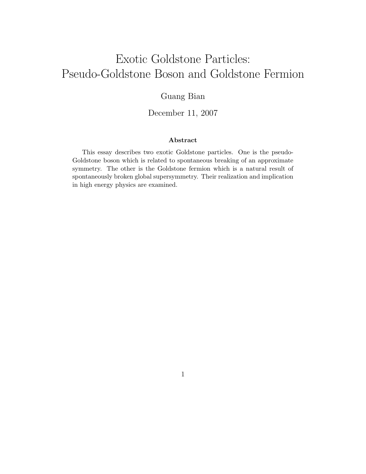# Exotic Goldstone Particles: Pseudo-Goldstone Boson and Goldstone Fermion

#### Guang Bian

December 11, 2007

#### Abstract

This essay describes two exotic Goldstone particles. One is the pseudo-Goldstone boson which is related to spontaneous breaking of an approximate symmetry. The other is the Goldstone fermion which is a natural result of spontaneously broken global supersymmetry. Their realization and implication in high energy physics are examined.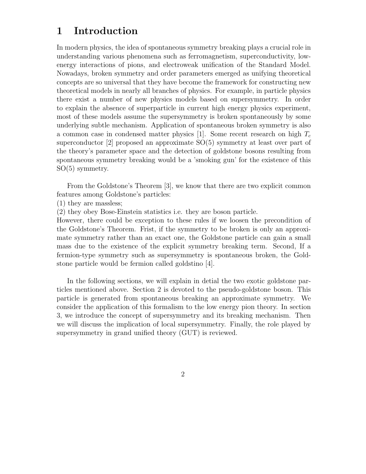### 1 Introduction

In modern physics, the idea of spontaneous symmetry breaking plays a crucial role in understanding various phenomena such as ferromagnetism, superconductivity, lowenergy interactions of pions, and electroweak unification of the Standard Model. Nowadays, broken symmetry and order parameters emerged as unifying theoretical concepts are so universal that they have become the framework for constructing new theoretical models in nearly all branches of physics. For example, in particle physics there exist a number of new physics models based on supersymmetry. In order to explain the absence of superparticle in current high energy physics experiment, most of these models assume the supersymmetry is broken spontaneously by some underlying subtle mechanism. Application of spontaneous broken symmetry is also a common case in condensed matter physics [1]. Some recent research on high  $T_c$ superconductor [2] proposed an approximate SO(5) symmetry at least over part of the theory's parameter space and the detection of goldstone bosons resulting from spontaneous symmetry breaking would be a 'smoking gun' for the existence of this SO(5) symmetry.

From the Goldstone's Theorem [3], we know that there are two explicit common features among Goldstone's particles:

(1) they are massless;

(2) they obey Bose-Einstein statistics i.e. they are boson particle.

However, there could be exception to these rules if we loosen the precondition of the Goldstone's Theorem. Frist, if the symmetry to be broken is only an approximate symmetry rather than an exact one, the Goldstone particle can gain a small mass due to the existence of the explicit symmetry breaking term. Second, If a fermion-type symmetry such as supersymmetry is spontaneous broken, the Goldstone particle would be fermion called goldstino [4].

In the following sections, we will explain in detial the two exotic goldstone particles mentioned above. Section 2 is devoted to the pseudo-goldstone boson. This particle is generated from spontaneous breaking an approximate symmetry. We consider the application of this formalism to the low energy pion theory. In section 3, we introduce the concept of supersymmetry and its breaking mechanism. Then we will discuss the implication of local supersymmetry. Finally, the role played by supersymmetry in grand unified theory (GUT) is reviewed.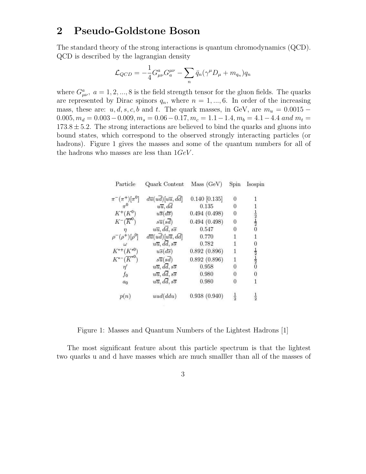#### 2 Pseudo-Goldstone Boson

The standard theory of the strong interactions is quantum chromodynamics (QCD). QCD is described by the lagrangian density

$$
\mathcal{L}_{QCD} = -\frac{1}{4} G^a_{\mu\nu} G^{\mu\nu}_a - \sum_n \bar{q}_n (\gamma^\mu D_\mu + m_{q_n}) q_n
$$

where  $G^a_{\mu\nu}$ ,  $a = 1, 2, ..., 8$  is the field strength tensor for the gluon fields. The quarks are represented by Dirac spinors  $q_n$ , where  $n = 1, ..., 6$ . In order of the increasing mass, these are:  $u, d, s, c, b$  and t. The quark masses, in GeV, are  $m_u = 0.0015 0.005, m_d = 0.003 - 0.009, m_s = 0.06 - 0.17, m_c = 1.1 - 1.4, m_b = 4.1 - 4.4$  and  $m_t =$  $173.8 \pm 5.2$ . The strong interactions are believed to bind the quarks and gluons into bound states, which correspond to the observed strongly interacting particles (or hadrons). Figure 1 gives the masses and some of the quantum numbers for all of the hadrons who masses are less than  $1GeV$ .

| Particle                    | Quark Content                                               | Mass(GeV)       | Spin          | Isospir                                                 |
|-----------------------------|-------------------------------------------------------------|-----------------|---------------|---------------------------------------------------------|
| $\pi^{-}(\pi^{+})[\pi^{0}]$ | $d\overline{u}(u\overline{d})[u\overline{u},dd]$            | $0.140$ [0.135] | $\bf{0}$      |                                                         |
|                             | $u\overline{u}$ , dd                                        | 0.135           | 0             |                                                         |
| $K^{+}(K^{0})$              | $u\overline{s}(d\overline{s})$                              | 0.494(0.498)    | 0             |                                                         |
| $K^{-}(\overline{K}^{0})$   | $s\overline{u}(s\overline{d})$                              | 0.494(0.498)    | 0             | $\frac{1}{2}$ $\frac{1}{2}$ $\frac{1}{0}$               |
|                             | $u\overline{u}, d\overline{d}, s\overline{s}$               | 0.547           | 0             |                                                         |
| $)[\rho^0]$                 | $d\overline{u}(u\overline{d})[u\overline{u},d\overline{d}]$ | 0.770           |               |                                                         |
|                             | $u\overline{u}, d\overline{d}, s\overline{s}$               | 0.782           |               |                                                         |
| $K^{*+}(K^{*0})$            | $u\overline{s}(d\overline{s})$                              | 0.892(0.896)    | 1             |                                                         |
| $K^{*-}(\overline{K}^{*0})$ | $s\overline{u}(s\overline{d})$                              | 0.892(0.896)    | $\mathbf{1}$  | $\frac{1}{2}$ $\frac{1}{2}$ $\frac{1}{2}$ $\frac{1}{0}$ |
|                             | $u\overline{u}, d\overline{d}, s\overline{s}$               | 0.958           | 0             |                                                         |
| $f_{0}$                     | $u\overline{u}, d\overline{d}, s\overline{s}$               | 0.980           | 0             |                                                         |
| $a_0$                       | $u\overline{u}, d\overline{d}, s\overline{s}$               | 0.980           |               |                                                         |
| p(n)                        | uud(ddu)                                                    | 0.938(0.940)    | $\frac{1}{2}$ |                                                         |

Figure 1: Masses and Quantum Numbers of the Lightest Hadrons [1]

The most significant feature about this particle spectrum is that the lightest two quarks u and d have masses which are much smalller than all of the masses of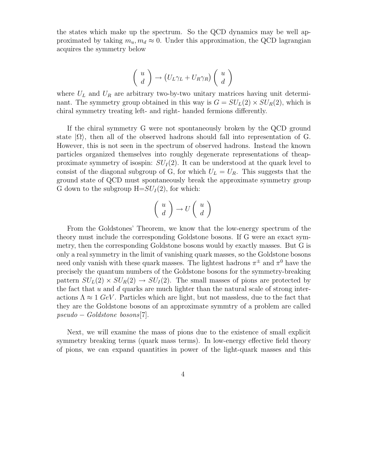the states which make up the spectrum. So the QCD dynamics may be well approximated by taking  $m_u, m_d \approx 0$ . Under this approximation, the QCD lagrangian acquires the symmetry below

$$
\left(\begin{array}{c} u \\ d \end{array}\right) \rightarrow \left(U_L \gamma_L + U_R \gamma_R\right) \left(\begin{array}{c} u \\ d \end{array}\right)
$$

where  $U_L$  and  $U_R$  are arbitrary two-by-two unitary matrices having unit determinant. The symmetry group obtained in this way is  $G = SU<sub>L</sub>(2) \times SU<sub>R</sub>(2)$ , which is chiral symmetry treating left- and right- handed fermions differently.

If the chiral symmetry G were not spontaneously broken by the QCD ground state  $|\Omega\rangle$ , then all of the observed hadrons should fall into representation of G. However, this is not seen in the spectrum of observed hadrons. Instead the known particles organized themselves into roughly degenerate representations of theapproximate symmetry of isospin:  $SU_I(2)$ . It can be understood at the quark level to consist of the diagonal subgroup of G, for which  $U_L = U_R$ . This suggests that the ground state of QCD must spontaneously break the approximate symmetry group G down to the subgroup  $H = SU_I(2)$ , for which:

$$
\left(\begin{array}{c} u \\ d \end{array}\right) \to U \left(\begin{array}{c} u \\ d \end{array}\right)
$$

From the Goldstones' Theorem, we know that the low-energy spectrum of the theory must include the corresponding Goldstone bosons. If G were an exact symmetry, then the corresponding Goldstone bosons would by exactly masses. But G is only a real symmetry in the limit of vanishing quark masses, so the Goldstone bosons need only vanish with these quark masses. The lightest hadrons  $\pi^{\pm}$  and  $\pi^{0}$  have the precisely the quantum numbers of the Goldstone bosons for the symmetry-breaking pattern  $SU_L(2) \times SU_R(2) \rightarrow SU_I(2)$ . The small masses of pions are protected by the fact that  $u$  and  $d$  quarks are much lighter than the natural scale of strong interactions  $\Lambda \approx 1$  GeV. Particles which are light, but not massless, due to the fact that they are the Goldstone bosons of an approximate symmtry of a problem are called pseudo − Goldstone bosons[7].

Next, we will examine the mass of pions due to the existence of small explicit symmetry breaking terms (quark mass terms). In low-energy effective field theory of pions, we can expand quantities in power of the light-quark masses and this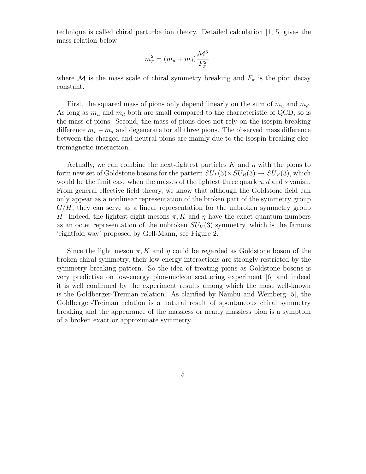technique is called chiral perturbation theory. Detailed calculation [1, 5] gives the mass relation below

$$
m_{\pi}^2 = (m_u + m_d) \frac{\mathcal{M}^3}{F_{\pi}^2}
$$

where M is the mass scale of chiral symmetry breaking and  $F_{\pi}$  is the pion decay constant.

First, the squared mass of pions only depend linearly on the sum of  $m_u$  and  $m_d$ . As long as  $m_u$  and  $m_d$  both are small compared to the characteristic of QCD, so is the mass of pions. Second, the mass of pions does not rely on the isospin-breaking difference  $m_u - m_d$  and degenerate for all three pions. The observed mass difference between the charged and neutral pions are mainly due to the isospin-breaking electromagnetic interaction.

Actually, we can combine the next-lightest particles K and  $\eta$  with the pions to form new set of Goldstone bosons for the pattern  $SU_L(3) \times SU_R(3) \rightarrow SU_V(3)$ , which would be the limit case when the masses of the lightest three quark  $u, d$  and s vanish. From general effective field theory, we know that although the Goldstone field can only appear as a nonlinear representation of the broken part of the symmetry group  $G/H$ , they can serve as a linear representation for the unbroken symmetry group H. Indeed, the lightest eight mesons  $\pi$ , K and  $\eta$  have the exact quantum numbers as an octet representation of the unbroken  $SU<sub>V</sub>(3)$  symmetry, which is the famous 'eightfold way' proposed by Gell-Mann, see Figure 2.

Since the light meson  $\pi$ , K and  $\eta$  could be regarded as Goldstone boson of the broken chiral symmetry, their low-energy interactions are strongly restricted by the symmetry breaking pattern. So the idea of treating pions as Goldstone bosons is very predictive on low-energy pion-nucleon scattering experiment [6] and indeed it is well confirmed by the experiment results among which the most well-known is the Goldberger-Treiman relation. As clarified by Nambu and Weinberg [5], the Goldberger-Treiman relation is a natural result of spontaneous chiral symmetry breaking and the appearance of the massless or nearly massless pion is a symptom of a broken exact or approximate symmetry.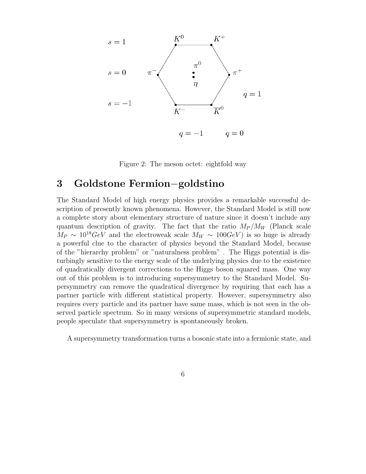

Figure 2: The meson octet: eightfold way

# 3 Goldstone Fermion−goldstino

The Standard Model of high energy physics provides a remarkable successful description of presently known phenomena. However, the Standard Model is still now a complete story about elementary structure of nature since it doesn't include any quantum description of gravity. The fact that the ratio  $M_P/M_W$  (Planck scale  $M_P \sim 10^{18} \text{GeV}$  and the electroweak scale  $M_W \sim 100 \text{GeV}$  is so huge is already a powerful clue to the character of physics beyond the Standard Model, because of the "hierarchy problem" or "naturalness problem" . The Higgs potential is disturbingly sensitive to the energy scale of the underlying physics due to the existence of quadratically divergent corrections to the Higgs boson squared mass. One way out of this problem is to introducing supersymmetry to the Standard Model. Supersymmetry can remove the quadratical divergence by requiring that each has a partner particle with different statistical property. However, supersymmetry also requires every particle and its partner have same mass, which is not seen in the observed particle spectrum. So in many versions of supersymmetric standard models, people speculate that supersymmetry is spontaneously broken.

A supersymmetry transformation turns a bosonic state into a fermionic state, and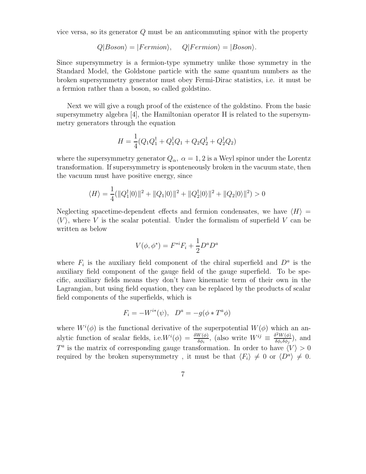vice versa, so its generator Q must be an anticommuting spinor with the property

$$
Q|Boson\rangle = |Fermion\rangle, \qquad Q|Fermion\rangle = |Boson\rangle.
$$

Since supersymmetry is a fermion-type symmetry unlike those symmetry in the Standard Model, the Goldstone particle with the same quantum numbers as the broken supersymmetry generator must obey Fermi-Dirac statistics, i.e. it must be a fermion rather than a boson, so called goldstino.

Next we will give a rough proof of the existence of the goldstino. From the basic supersymmetry algebra [4], the Hamiltonian operator H is related to the supersymmetry generators through the equation

$$
H = \frac{1}{4}(Q_1 Q_1^{\dagger} + Q_1^{\dagger} Q_1 + Q_2 Q_2^{\dagger} + Q_2^{\dagger} Q_2)
$$

where the supersymmetry generator  $Q_{\alpha}$ ,  $\alpha = 1, 2$  is a Weyl spinor under the Lorentz transformation. If supersymmetry is sponteneously broken in the vacuum state, then the vacuum must have positive energy, since

$$
\langle H \rangle = \frac{1}{4} (||Q_1^{\dagger}|0\rangle||^2 + ||Q_1|0\rangle||^2 + ||Q_2^{\dagger}|0\rangle||^2 + ||Q_2|0\rangle||^2) > 0
$$

Neglecting spacetime-dependent effects and fermion condensates, we have  $\langle H \rangle$  =  $\langle V \rangle$ , where V is the scalar potential. Under the formalism of superfield V can be written as below

$$
V(\phi, \phi^*) = F^{*i}F_i + \frac{1}{2}D^a D^a
$$

where  $F_i$  is the auxiliary field component of the chiral superfield and  $D^a$  is the auxiliary field component of the gauge field of the gauge superfield. To be specific, auxiliary fields means they don't have kinematic term of their own in the Lagrangian, but using field equation, they can be replaced by the products of scalar field components of the superfields, which is

$$
F_i = -W^{i*}(\psi), \quad D^a = -g(\phi * T^a \phi)
$$

where  $W^{i}(\phi)$  is the functional derivative of the superpotential  $W(\phi)$  which an analytic function of scalar fields, i.e.  $W^{i}(\phi) = \frac{\delta W(\phi)}{\delta \phi_i}$ , (also write  $W^{ij} \equiv \frac{\delta^2 W(\phi)}{\delta \phi_i \delta \phi_j}$  $\frac{\partial^2 W(\phi)}{\partial \phi_i \delta \phi_j}$ , and  $T^a$  is the matrix of corresponding gauge transformation. In order to have  $\langle V \rangle > 0$ required by the broken supersymmetry, it must be that  $\langle F_i \rangle \neq 0$  or  $\langle D^a \rangle \neq 0$ .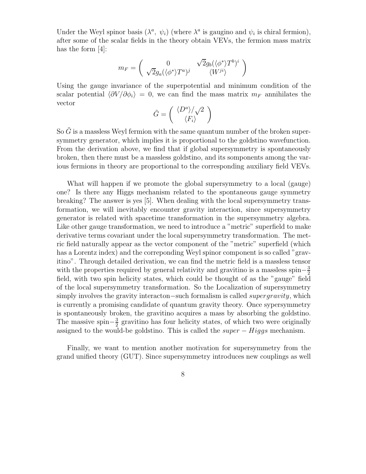Under the Weyl spinor basis  $(\lambda^a, \psi_i)$  (where  $\lambda^a$  is gaugino and  $\psi_i$  is chiral fermion), after some of the scalar fields in the theory obtain VEVs, the fermion mass matrix has the form [4]:

$$
m_F = \left(\begin{array}{cc} 0 & \sqrt{2}g_b(\langle \phi^* \rangle T^b)^i \\ \sqrt{2}g_a(\langle \phi^* \rangle T^a)^j & \langle W^{ji} \rangle \end{array}\right)
$$

Using the gauge invariance of the superpotential and minimum condition of the scalar potential  $\langle \partial V/\partial \phi_i \rangle = 0$ , we can find the mass matrix  $m_F$  annihilates the vector

$$
\tilde{G}=\left(\begin{array}{c}\langle D^a\rangle/\surd2\\\langle F_i\rangle\end{array}\right)
$$

So  $\tilde{G}$  is a massless Weyl fermion with the same quantum number of the broken supersymmetry generator, which implies it is proportional to the goldstino wavefunction. From the derivation above, we find that if global supersymmetry is spontaneously broken, then there must be a massless goldstino, and its somponents among the various fermions in theory are proportional to the corresponding auxiliary field VEVs.

What will happen if we promote the global supersymmetry to a local (gauge) one? Is there any Higgs mechanism related to the spontaneous gauge symmetry breaking? The answer is yes [5]. When dealing with the local supersymmetry transformation, we will inevitably encounter gravity interaction, since supersymmetry generator is related with spacetime transformation in the supersymmetry algebra. Like other gauge transformation, we need to introduce a "metric" superfield to make derivative terms covariant under the local supersymmetry transformation. The metric field naturally appear as the vector component of the "metric" superfield (which has a Lorentz index) and the correponding Weyl spinor component is so called "gravitino". Through detailed derivation, we can find the metric field is a massless tensor with the properties required by general relativity and gravitino is a massless spin $-\frac{3}{2}$ 2 field, with two spin helicity states, which could be thought of as the "gauge" field of the local supersymmetry transformation. So the Localization of supersymmetry simply involves the gravity interacton–such formalism is called *supergravity*, which is currently a promising candidate of quantum gravity theory. Once sypersymmetry is spontaneously broken, the gravitino acquires a mass by absorbing the goldstino. The massive spin $-\frac{3}{2}$  $\frac{3}{2}$  gravitino has four helicity states, of which two were originally assigned to the would-be goldstino. This is called the  $super - Higgs$  mechanism.

Finally, we want to mention another motivation for supersymmetry from the grand unified theory (GUT). Since supersymmetry introduces new couplings as well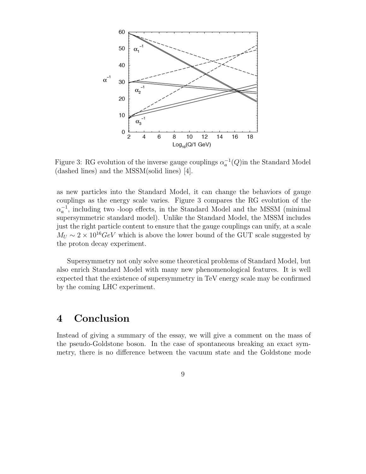

Figure 3: RG evolution of the inverse gauge couplings  $\alpha_a^{-1}(Q)$  in the Standard Model (dashed lines) and the MSSM(solid lines) [4].

as new particles into the Standard Model, it can change the behaviors of gauge couplings as the energy scale varies. Figure 3 compares the RG evolution of the  $\alpha_a^{-1}$ , including two -loop effects, in the Standard Model and the MSSM (minimal supersymmetric standard model). Unlike the Standard Model, the MSSM includes just the right particle content to ensure that the gauge couplings can unify, at a scale  $M_U \sim 2 \times 10^{16} \text{GeV}$  which is above the lower bound of the GUT scale suggested by the proton decay experiment.

Supersymmetry not only solve some theoretical problems of Standard Model, but also enrich Standard Model with many new phenomenological features. It is well expected that the existence of supersymmetry in TeV energy scale may be confirmed by the coming LHC experiment.

# 4 Conclusion

Instead of giving a summary of the essay, we will give a comment on the mass of the pseudo-Goldstone boson. In the case of spontaneous breaking an exact symmetry, there is no difference between the vacuum state and the Goldstone mode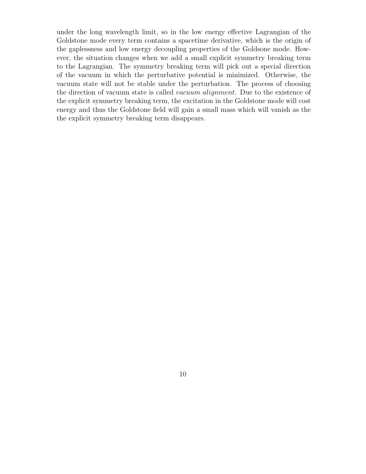under the long wavelength limit, so in the low energy effective Lagrangian of the Goldstone mode every term contains a spacetime derivative, which is the origin of the gaplessness and low energy decoupling properties of the Goldsone mode. However, the situation changes when we add a small explicit symmetry breaking term to the Lagrangian. The symmetry breaking term will pick out a special direction of the vacuum in which the perturbative potential is minimized. Otherwise, the vacuum state will not be stable under the perturbation. The process of choosing the direction of vacuum state is called vacuum alignment. Due to the existence of the explicit symmetry breaking term, the excitation in the Goldstone mode will cost energy and thus the Goldstone field will gain a small mass which will vanish as the the explicit symmetry breaking term disappears.